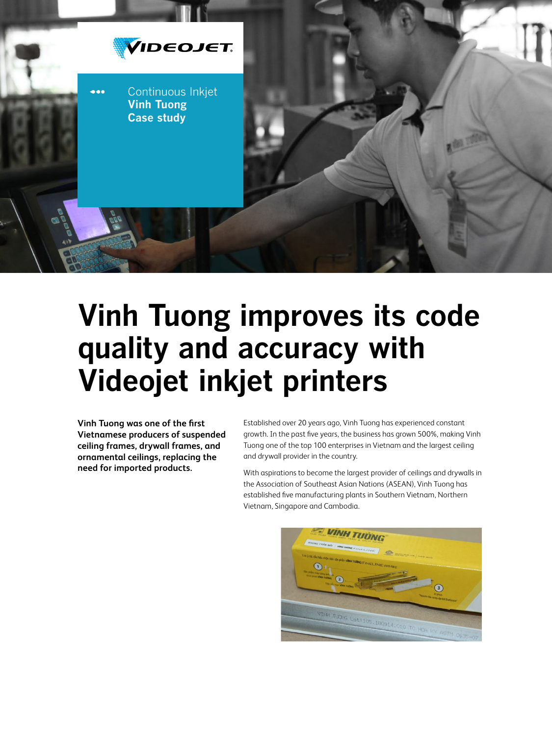

## **Vinh Tuong improves its code quality and accuracy with Videojet inkjet printers**

**Vinh Tuong was one of the first Vietnamese producers of suspended ceiling frames, drywall frames, and ornamental ceilings, replacing the need for imported products.**

Established over 20 years ago, Vinh Tuong has experienced constant growth. In the past five years, the business has grown 500%, making Vinh Tuong one of the top 100 enterprises in Vietnam and the largest ceiling and drywall provider in the country.

With aspirations to become the largest provider of ceilings and drywalls in the Association of Southeast Asian Nations (ASEAN), Vinh Tuong has established five manufacturing plants in Southern Vietnam, Northern Vietnam, Singapore and Cambodia.

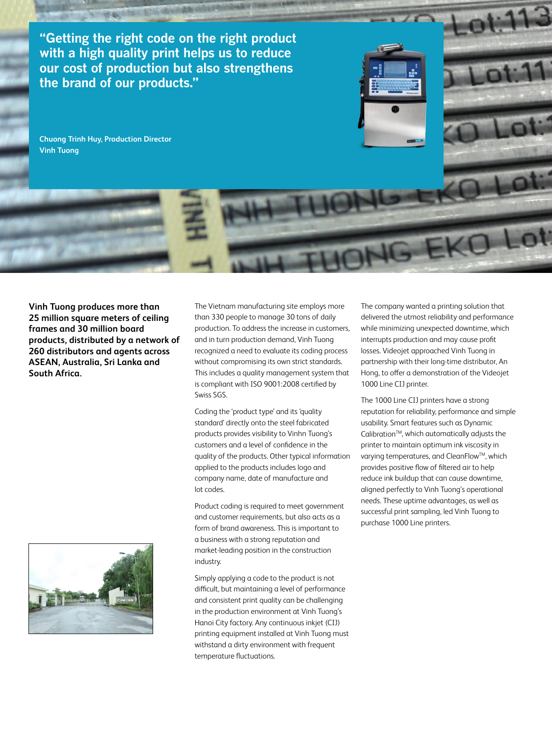**"Getting the right code on the right product with a high quality print helps us to reduce our cost of production but also strengthens the brand of our products."**

**Chuong Trinh Huy, Production Director Vinh Tuong**

**Vinh Tuong produces more than 25 million square meters of ceiling frames and 30 million board products, distributed by a network of 260 distributors and agents across ASEAN, Australia, Sri Lanka and South Africa.** 



The Vietnam manufacturing site employs more than 330 people to manage 30 tons of daily production. To address the increase in customers, and in turn production demand, Vinh Tuong recognized a need to evaluate its coding process without compromising its own strict standards. This includes a quality management system that is compliant with ISO 9001:2008 certified by Swiss SGS.

Coding the 'product type' and its 'quality standard' directly onto the steel fabricated products provides visibility to Vinhn Tuong's customers and a level of confidence in the quality of the products. Other typical information applied to the products includes logo and company name, date of manufacture and lot codes.

Product coding is required to meet government and customer requirements, but also acts as a form of brand awareness. This is important to a business with a strong reputation and market-leading position in the construction industry.

Simply applying a code to the product is not difficult, but maintaining a level of performance and consistent print quality can be challenging in the production environment at Vinh Tuong's Hanoi City factory. Any continuous inkjet (CIJ) printing equipment installed at Vinh Tuong must withstand a dirty environment with frequent temperature fluctuations.

The company wanted a printing solution that delivered the utmost reliability and performance while minimizing unexpected downtime, which interrupts production and may cause profit losses. Videojet approached Vinh Tuong in partnership with their long-time distributor, An Hong, to offer a demonstration of the Videojet 1000 Line CIJ printer.

The 1000 Line CIJ printers have a strong reputation for reliability, performance and simple usability. Smart features such as Dynamic Calibration<sup>™</sup>, which automatically adjusts the printer to maintain optimum ink viscosity in varying temperatures, and CleanFlow™, which provides positive flow of filtered air to help reduce ink buildup that can cause downtime, aligned perfectly to Vinh Tuong's operational needs. These uptime advantages, as well as successful print sampling, led Vinh Tuong to purchase 1000 Line printers.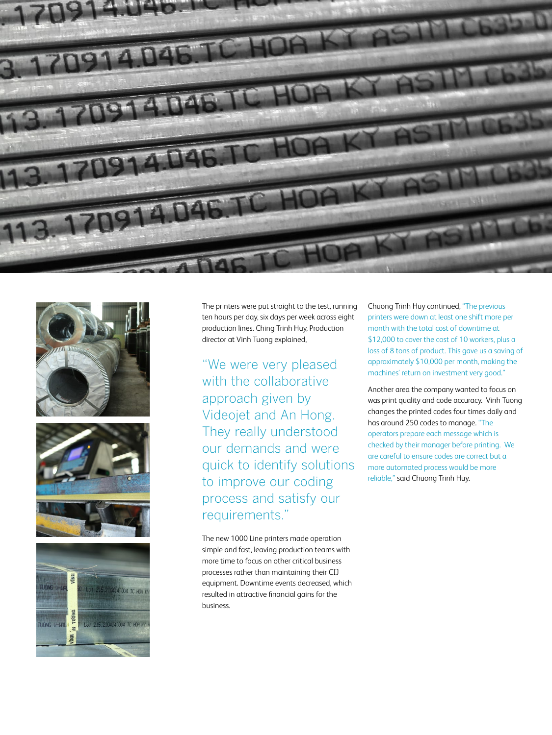









The printers were put straight to the test, running ten hours per day, six days per week across eight production lines. Ching Trinh Huy, Production director at Vinh Tuong explained,

"We were very pleased with the collaborative approach given by Videojet and An Hong. They really understood our demands and were quick to identify solutions to improve our coding process and satisfy our requirements."

The new 1000 Line printers made operation simple and fast, leaving production teams with more time to focus on other critical business processes rather than maintaining their CIJ equipment. Downtime events decreased, which resulted in attractive financial gains for the business.

Chuong Trinh Huy continued, "The previous printers were down at least one shift more per month with the total cost of downtime at \$12,000 to cover the cost of 10 workers, plus a loss of 8 tons of product. This gave us a saving of approximately \$10,000 per month, making the machines' return on investment very good."

Another area the company wanted to focus on was print quality and code accuracy. Vinh Tuong changes the printed codes four times daily and has around 250 codes to manage. "The operators prepare each message which is checked by their manager before printing. We are careful to ensure codes are correct but a more automated process would be more reliable," said Chuong Trinh Huy.